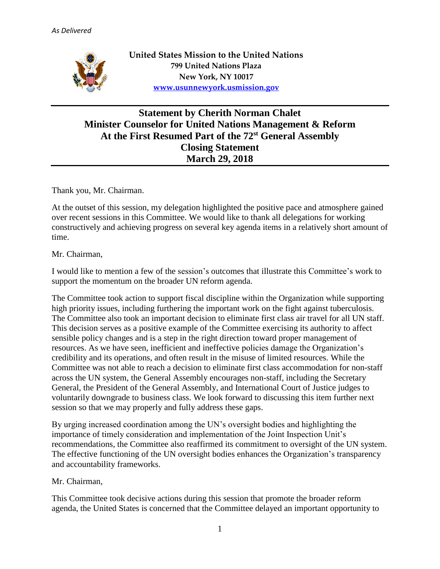

## **Statement by Cherith Norman Chalet Minister Counselor for United Nations Management & Reform At the First Resumed Part of the 72 st General Assembly Closing Statement March 29, 2018**

Thank you, Mr. Chairman.

At the outset of this session, my delegation highlighted the positive pace and atmosphere gained over recent sessions in this Committee. We would like to thank all delegations for working constructively and achieving progress on several key agenda items in a relatively short amount of time.

## Mr. Chairman,

I would like to mention a few of the session's outcomes that illustrate this Committee's work to support the momentum on the broader UN reform agenda.

The Committee took action to support fiscal discipline within the Organization while supporting high priority issues, including furthering the important work on the fight against tuberculosis. The Committee also took an important decision to eliminate first class air travel for all UN staff. This decision serves as a positive example of the Committee exercising its authority to affect sensible policy changes and is a step in the right direction toward proper management of resources. As we have seen, inefficient and ineffective policies damage the Organization's credibility and its operations, and often result in the misuse of limited resources. While the Committee was not able to reach a decision to eliminate first class accommodation for non-staff across the UN system, the General Assembly encourages non-staff, including the Secretary General, the President of the General Assembly, and International Court of Justice judges to voluntarily downgrade to business class. We look forward to discussing this item further next session so that we may properly and fully address these gaps.

By urging increased coordination among the UN's oversight bodies and highlighting the importance of timely consideration and implementation of the Joint Inspection Unit's recommendations, the Committee also reaffirmed its commitment to oversight of the UN system. The effective functioning of the UN oversight bodies enhances the Organization's transparency and accountability frameworks.

## Mr. Chairman,

This Committee took decisive actions during this session that promote the broader reform agenda, the United States is concerned that the Committee delayed an important opportunity to